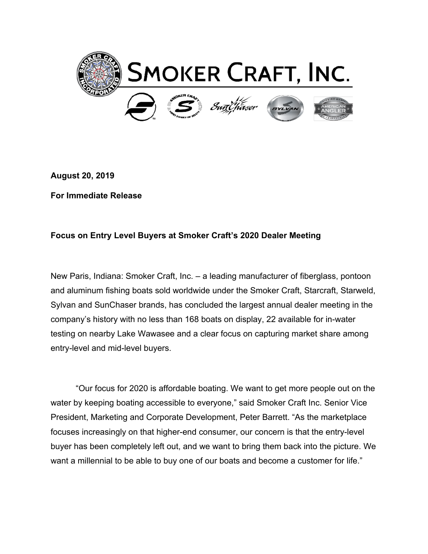

**August 20, 2019**

**For Immediate Release**

## **Focus on Entry Level Buyers at Smoker Craft's 2020 Dealer Meeting**

New Paris, Indiana: Smoker Craft, Inc. – a leading manufacturer of fiberglass, pontoon and aluminum fishing boats sold worldwide under the Smoker Craft, Starcraft, Starweld, Sylvan and SunChaser brands, has concluded the largest annual dealer meeting in the company's history with no less than 168 boats on display, 22 available for in-water testing on nearby Lake Wawasee and a clear focus on capturing market share among entry-level and mid-level buyers.

"Our focus for 2020 is affordable boating. We want to get more people out on the water by keeping boating accessible to everyone," said Smoker Craft Inc. Senior Vice President, Marketing and Corporate Development, Peter Barrett. "As the marketplace focuses increasingly on that higher-end consumer, our concern is that the entry-level buyer has been completely left out, and we want to bring them back into the picture. We want a millennial to be able to buy one of our boats and become a customer for life."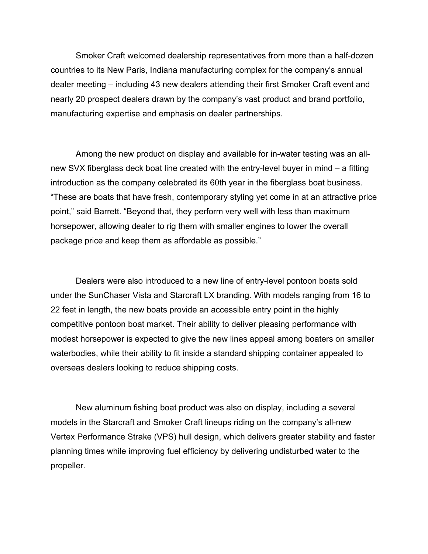Smoker Craft welcomed dealership representatives from more than a half-dozen countries to its New Paris, Indiana manufacturing complex for the company's annual dealer meeting – including 43 new dealers attending their first Smoker Craft event and nearly 20 prospect dealers drawn by the company's vast product and brand portfolio, manufacturing expertise and emphasis on dealer partnerships.

Among the new product on display and available for in-water testing was an allnew SVX fiberglass deck boat line created with the entry-level buyer in mind – a fitting introduction as the company celebrated its 60th year in the fiberglass boat business. "These are boats that have fresh, contemporary styling yet come in at an attractive price point," said Barrett. "Beyond that, they perform very well with less than maximum horsepower, allowing dealer to rig them with smaller engines to lower the overall package price and keep them as affordable as possible."

Dealers were also introduced to a new line of entry-level pontoon boats sold under the SunChaser Vista and Starcraft LX branding. With models ranging from 16 to 22 feet in length, the new boats provide an accessible entry point in the highly competitive pontoon boat market. Their ability to deliver pleasing performance with modest horsepower is expected to give the new lines appeal among boaters on smaller waterbodies, while their ability to fit inside a standard shipping container appealed to overseas dealers looking to reduce shipping costs.

New aluminum fishing boat product was also on display, including a several models in the Starcraft and Smoker Craft lineups riding on the company's all-new Vertex Performance Strake (VPS) hull design, which delivers greater stability and faster planning times while improving fuel efficiency by delivering undisturbed water to the propeller.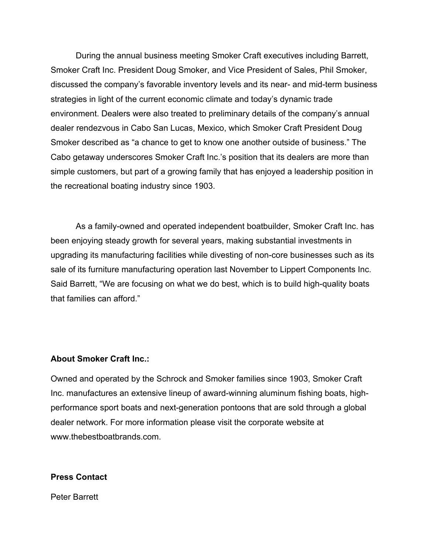During the annual business meeting Smoker Craft executives including Barrett, Smoker Craft Inc. President Doug Smoker, and Vice President of Sales, Phil Smoker, discussed the company's favorable inventory levels and its near- and mid-term business strategies in light of the current economic climate and today's dynamic trade environment. Dealers were also treated to preliminary details of the company's annual dealer rendezvous in Cabo San Lucas, Mexico, which Smoker Craft President Doug Smoker described as "a chance to get to know one another outside of business." The Cabo getaway underscores Smoker Craft Inc.'s position that its dealers are more than simple customers, but part of a growing family that has enjoyed a leadership position in the recreational boating industry since 1903.

As a family-owned and operated independent boatbuilder, Smoker Craft Inc. has been enjoying steady growth for several years, making substantial investments in upgrading its manufacturing facilities while divesting of non-core businesses such as its sale of its furniture manufacturing operation last November to Lippert Components Inc. Said Barrett, "We are focusing on what we do best, which is to build high-quality boats that families can afford."

## **About Smoker Craft Inc.:**

Owned and operated by the Schrock and Smoker families since 1903, Smoker Craft Inc. manufactures an extensive lineup of award-winning aluminum fishing boats, highperformance sport boats and next-generation pontoons that are sold through a global dealer network. For more information please visit the corporate website at www.thebestboatbrands.com.

## **Press Contact**

Peter Barrett